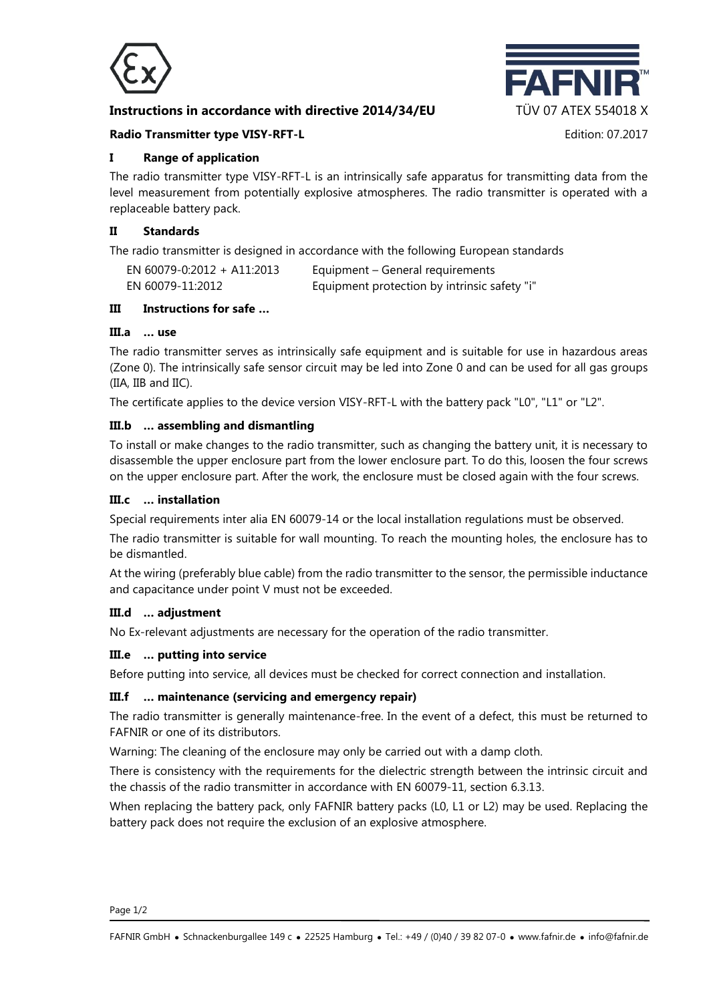

# **Instructions in accordance with directive 2014/34/EU TÜV 07 ATEX 554018 X**



### **Radio Transmitter type VISY-RFT-L Edition: 07.2017** Edition: 07.2017

## **I Range of application**

The radio transmitter type VISY-RFT-L is an intrinsically safe apparatus for transmitting data from the level measurement from potentially explosive atmospheres. The radio transmitter is operated with a replaceable battery pack.

## **II Standards**

The radio transmitter is designed in accordance with the following European standards

| EN 60079-0:2012 + A11:2013 | Equipment – General requirements             |
|----------------------------|----------------------------------------------|
| EN 60079-11:2012           | Equipment protection by intrinsic safety "i" |

## **III Instructions for safe …**

# **III.a … use**

The radio transmitter serves as intrinsically safe equipment and is suitable for use in hazardous areas (Zone 0). The intrinsically safe sensor circuit may be led into Zone 0 and can be used for all gas groups (IIA, IIB and IIC).

The certificate applies to the device version VISY-RFT-L with the battery pack "L0", "L1" or "L2".

## **III.b … assembling and dismantling**

To install or make changes to the radio transmitter, such as changing the battery unit, it is necessary to disassemble the upper enclosure part from the lower enclosure part. To do this, loosen the four screws on the upper enclosure part. After the work, the enclosure must be closed again with the four screws.

#### **III.c … installation**

Special requirements inter alia EN 60079-14 or the local installation regulations must be observed.

The radio transmitter is suitable for wall mounting. To reach the mounting holes, the enclosure has to be dismantled.

At the wiring (preferably blue cable) from the radio transmitter to the sensor, the permissible inductance and capacitance under point V must not be exceeded.

#### **III.d … adjustment**

No Ex-relevant adjustments are necessary for the operation of the radio transmitter.

#### **III.e … putting into service**

Before putting into service, all devices must be checked for correct connection and installation.

#### **III.f … maintenance (servicing and emergency repair)**

The radio transmitter is generally maintenance-free. In the event of a defect, this must be returned to FAFNIR or one of its distributors.

Warning: The cleaning of the enclosure may only be carried out with a damp cloth.

There is consistency with the requirements for the dielectric strength between the intrinsic circuit and the chassis of the radio transmitter in accordance with EN 60079-11, section 6.3.13.

When replacing the battery pack, only FAFNIR battery packs (L0, L1 or L2) may be used. Replacing the battery pack does not require the exclusion of an explosive atmosphere.